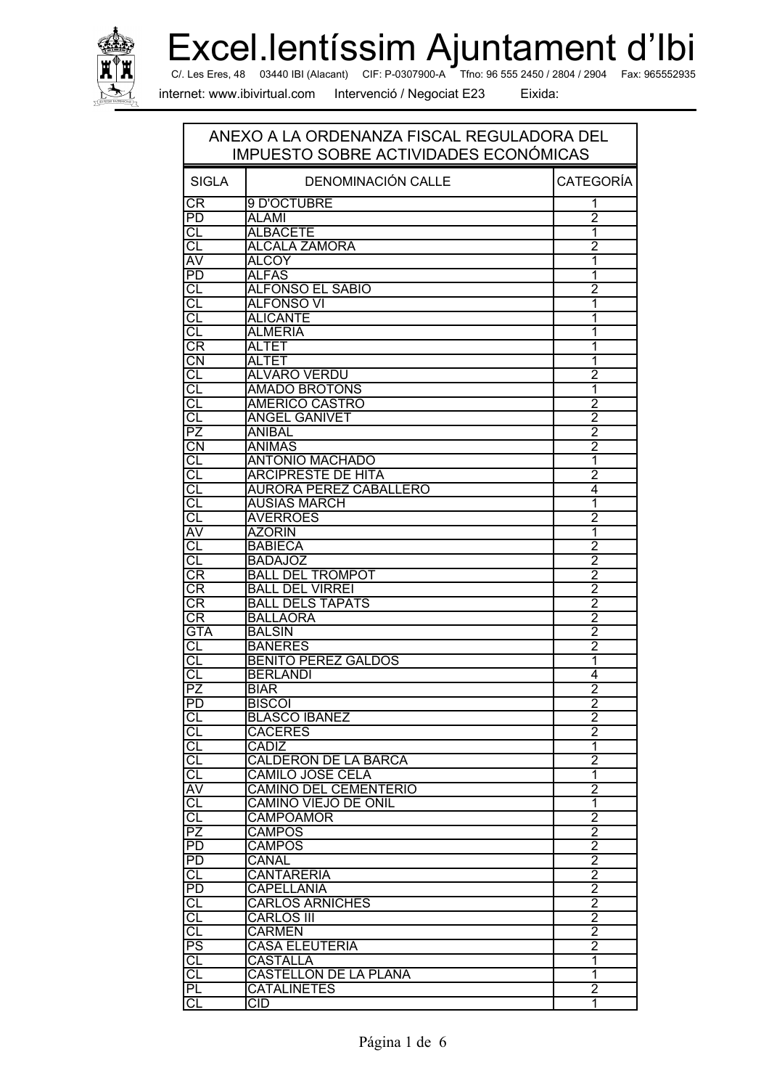

Excel.lentíssim Ajuntament d'Ibi Tfno: 96 555 2450 / 2804 / 2904 Fax: 965552935

C/. Les Eres, 48 03440 IBI (Alacant) CIF: P-0307900-A

internet: www.ibivirtual.com

Intervenció / Negociat E23

| ANEXO A LA ORDENANZA FISCAL REGULADORA DEL<br>IMPUESTO SOBRE ACTIVIDADES ECONÓMICAS |                                        |                                  |
|-------------------------------------------------------------------------------------|----------------------------------------|----------------------------------|
| <b>SIGLA</b>                                                                        | DENOMINACIÓN CALLE                     | <b>CATEGORÍA</b>                 |
| CR                                                                                  | 9 D'OCTUBRE                            | 1                                |
| $\overline{PD}$                                                                     | <b>ALAMI</b>                           | $\overline{2}$                   |
| CL                                                                                  | <b>ALBACETE</b>                        | 1                                |
| CL                                                                                  | <b>ALCALA ZAMORA</b>                   | $\overline{2}$                   |
| AV                                                                                  | <b>ALCOY</b>                           | 1                                |
| $\overline{PD}$                                                                     | <b>ALFAS</b>                           | 1                                |
| CL                                                                                  | <b>ALFONSO EL SABIO</b>                | $\overline{2}$                   |
| $\overline{c}$                                                                      | <b>ALFONSO VI</b>                      | 1                                |
| CL                                                                                  | <b>ALICANTE</b>                        | 1                                |
| CL                                                                                  | <b>ALMERIA</b>                         | 1                                |
| CR<br>$\overline{\text{CN}}$                                                        | ALTET                                  | 1                                |
| $\overline{\text{CL}}$                                                              | <b>ALTET</b><br><b>ALVARO VERDU</b>    | 1<br>$\overline{2}$              |
| CL                                                                                  | <b>AMADO BROTONS</b>                   | 1                                |
| $\overline{\text{CL}}$                                                              | <b>AMERICO CASTRO</b>                  | $\overline{2}$                   |
| CL                                                                                  | <b>ANGEL GANIVET</b>                   | $\overline{2}$                   |
| $\overline{PZ}$                                                                     | <b>ANIBAL</b>                          | $\overline{2}$                   |
| $\overline{\text{CN}}$                                                              | <b>ANIMAS</b>                          | $\overline{2}$                   |
| $\overline{c}$                                                                      | <b>ANTONIO MACHADO</b>                 | 1                                |
| $\overline{c}$                                                                      | <b>ARCIPRESTE DE HITA</b>              | $\overline{2}$                   |
| $\overline{\text{Cl}}$                                                              | <b>AURORA PEREZ CABALLERO</b>          | 4                                |
| CL                                                                                  | <b>AUSIAS MARCH</b>                    | 1                                |
| CL                                                                                  | <b>AVERROES</b>                        | 2                                |
| $\overline{\mathsf{AV}}$                                                            | <b>AZORIN</b>                          | 1                                |
| CL                                                                                  | <b>BABIECA</b>                         | $\overline{2}$                   |
| $\overline{\text{CL}}$                                                              | <b>BADAJOZ</b>                         | $\overline{2}$                   |
| $\overline{\text{CR}}$                                                              | <b>BALL DEL TROMPOT</b>                | $\overline{2}$                   |
| CR                                                                                  | <b>BALL DEL VIRREI</b>                 | $\frac{2}{2}$                    |
| CR                                                                                  | <b>BALL DELS TAPATS</b>                |                                  |
| CR                                                                                  | <b>BALLAORA</b>                        | $\overline{2}$                   |
| <b>GTA</b>                                                                          | <b>BALSIN</b>                          | $\overline{2}$                   |
| CL                                                                                  | <b>BANERES</b>                         | 2                                |
| СL                                                                                  | <b>BENITO PEREZ GALDOS</b>             | 1                                |
| CL                                                                                  | <b>BERLANDI</b>                        | 4                                |
| $\overline{PZ}$                                                                     | <b>BIAR</b>                            | $\overline{2}$                   |
| PD                                                                                  | <b>BISCOI</b>                          | $\overline{2}$                   |
| CL                                                                                  | <b>BLASCO IBAÑEZ</b><br><b>CACERES</b> | $\overline{2}$<br>$\overline{2}$ |
|                                                                                     | <b>CADIZ</b>                           | $\overline{\mathbf{1}}$          |
| CL                                                                                  | <b>CALDERON DE LA BARCA</b>            | $\overline{2}$                   |
| $\overline{\text{CL}}$                                                              | <b>CAMILO JOSE CELA</b>                | 1                                |
| AV                                                                                  | <b>CAMINO DEL CEMENTERIO</b>           | $\overline{2}$                   |
| CL                                                                                  | <b>CAMINO VIEJO DE ONIL</b>            | 1                                |
| $\overline{c}$                                                                      | <b>CAMPOAMOR</b>                       | $\overline{2}$                   |
| $\overline{PZ}$                                                                     | CAMPOS                                 | $\overline{2}$                   |
| PD                                                                                  | CAMPOS                                 |                                  |
| P <sub>D</sub>                                                                      | CANAL                                  | $\frac{2}{2}$                    |
| CL                                                                                  | <b>CANTARERIA</b>                      | $\frac{2}{2}$                    |
| <b>PD</b>                                                                           | <b>CAPELLANIA</b>                      |                                  |
| $\overline{c}$                                                                      | <b>CARLOS ARNICHES</b>                 | $\overline{2}$                   |
| CL                                                                                  | CARLOS III                             | $\overline{2}$                   |
| CL                                                                                  | <b>CARMEN</b>                          | $\overline{2}$                   |
| $\overline{\mathsf{PS}}$                                                            | <b>CASA ELEUTERIA</b>                  | $\overline{2}$                   |
| CL                                                                                  | CASTALLA                               | 1                                |
| C                                                                                   | <b>CASTELLON DE LA PLANA</b>           | $\overline{\mathbf{1}}$          |
| PL                                                                                  | <b>CATALINETES</b>                     | $\overline{2}$                   |
| СL                                                                                  | $\overline{\text{CID}}$                | 1                                |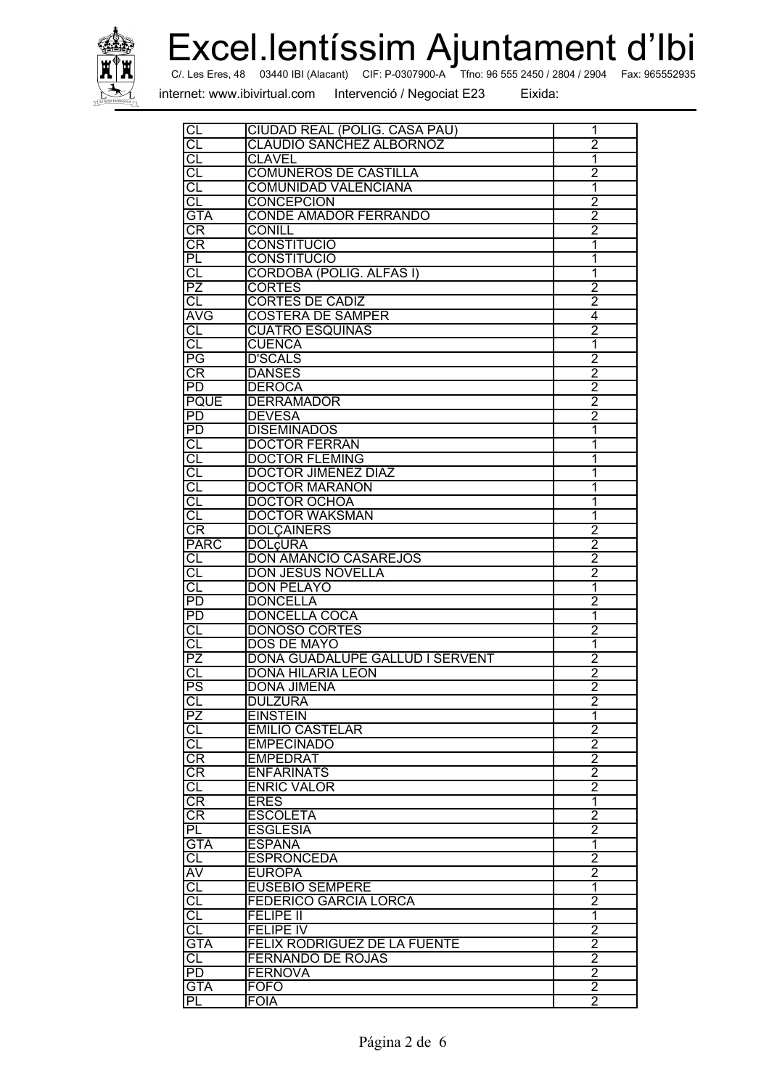

Excel.lentíssim Ajuntament d'Ibi Fax: 965552935

Tfno: 96 555 2450 / 2804 / 2904 C/. Les Eres, 48 03440 IBI (Alacant) CIF: P-0307900-A

internet: www.ibivirtual.com

Intervenció / Negociat E23

| $C\Box$                  | CIUDAD REAL (POLIG. CASA PAU)   | 1              |
|--------------------------|---------------------------------|----------------|
| $\overline{\text{CL}}$   | <b>CLAUDIO SANCHEZ ALBORNOZ</b> | $\overline{2}$ |
| $\overline{\text{CL}}$   | <b>CLAVEL</b>                   | 1              |
| $\overline{\text{CL}}$   | <b>COMUNEROS DE CASTILLA</b>    | $\overline{2}$ |
| CL                       | <b>COMUNIDAD VALENCIANA</b>     | 1              |
| СL                       | <b>CONCEPCION</b>               | $\overline{2}$ |
| <b>GTA</b>               | <b>CONDE AMADOR FERRANDO</b>    | $\overline{2}$ |
| CR                       | <b>CONILL</b>                   | $\overline{2}$ |
| CR                       | <b>CONSTITUCIO</b>              | 1              |
| ΡL                       | <b>CONSTITUCIO</b>              | 1              |
|                          |                                 |                |
| CL                       | <b>CORDOBA (POLIG. ALFAS I)</b> | 1              |
| $\overline{PZ}$          | <b>CORTES</b>                   | $\overline{2}$ |
| CL                       | <b>CORTES DE CADIZ</b>          | $\overline{2}$ |
| <b>AVG</b>               | <b>COSTERA DE SAMPER</b>        | $\overline{4}$ |
| $\overline{c}$           | <b>CUATRO ESQUINAS</b>          | $\overline{2}$ |
| $\overline{\text{CL}}$   | <b>CUENCA</b>                   | 1              |
| PG                       | <b>D'SCALS</b>                  | $\overline{2}$ |
| CR                       | <b>DANSES</b>                   | $\overline{2}$ |
| $\overline{\mathsf{PD}}$ | <b>DEROCA</b>                   | $\overline{2}$ |
| <b>PQUE</b>              | <b>DERRAMADOR</b>               | $\overline{2}$ |
| PD                       | <b>DEVESA</b>                   | $\overline{2}$ |
| $\overline{PD}$          | <b>DISEMINADOS</b>              | 1              |
| $\overline{\text{CL}}$   | <b>DOCTOR FERRAN</b>            | 1              |
|                          |                                 |                |
| $\overline{c}$           | <b>DOCTOR FLEMING</b>           | 1              |
| CL                       | <b>DOCTOR JIMENEZ DIAZ</b>      | 1              |
| $\overline{\text{CL}}$   | <b>DOCTOR MARAÑON</b>           | 1              |
| CL                       | <b>DOCTOR OCHOA</b>             | 1              |
| CL                       | <b>DOCTOR WAKSMAN</b>           | 1              |
| CR                       | <b>DOLCAINERS</b>               | 2              |
| <b>PARC</b>              | <b>DOL¢URA</b>                  | $\overline{2}$ |
| <b>CL</b>                | <b>DON AMANCIO CASAREJOS</b>    | $\overline{2}$ |
| $\overline{\text{CL}}$   | <b>DON JESUS NOVELLA</b>        | $\overline{2}$ |
| CL                       | DON PELAYO                      | 1              |
| $\overline{PD}$          | <b>DONCELLA</b>                 | $\overline{2}$ |
| $\overline{PD}$          | <b>DONCELLA COCA</b>            | 1              |
| CL                       | <b>DONOSO CORTES</b>            | $\overline{2}$ |
|                          | <b>DOS DE MAYO</b>              |                |
| CL                       |                                 | 1              |
| PZ                       | DOÑA GUADALUPE GALLUD I SERVENT | $\overline{2}$ |
| CL                       | <b>DOÑA HILARIA LEON</b>        | 2              |
| $\overline{\mathsf{PS}}$ | DOÑA JIMENA                     | $\overline{2}$ |
| CL                       | <b>DULZURA</b>                  | 2              |
| $\overline{PZ}$          | <b>EINSTEIN</b>                 | 1              |
| <b>CL</b>                | <b>EMILIO CASTELAR</b>          | $\overline{2}$ |
| $\overline{c}$           | <b>EMPECINADO</b>               | $\overline{2}$ |
| $\overline{\text{CR}}$   | <b>EMPEDRAT</b>                 | $\overline{2}$ |
| CR                       | <b>ENFARINATS</b>               | $\overline{2}$ |
| CL                       | <b>ENRIC VALOR</b>              | $\overline{2}$ |
| CR                       | <b>ERES</b>                     | 1              |
| CR                       | <b>ESCOLETA</b>                 | $\overline{2}$ |
| PL                       | <b>ESGLESIA</b>                 | $\overline{2}$ |
| <b>GTA</b>               | <b>ESPAÑA</b>                   | $\overline{1}$ |
|                          |                                 |                |
| CL                       | <b>ESPRONCEDA</b>               | $\overline{2}$ |
| AV                       | <b>EUROPA</b>                   | $\overline{2}$ |
| CL                       | <b>EUSEBIO SEMPERE</b>          | $\overline{1}$ |
| CL                       | <b>FEDERICO GARCIA LORCA</b>    | $\overline{2}$ |
| CL                       | <b>FELIPE II</b>                | 1              |
| CL                       | <b>FELIPE IV</b>                | 2              |
| <b>GTA</b>               | FELIX RODRIGUEZ DE LA FUENTE    | $\overline{2}$ |
| CL                       | <b>FERNANDO DE ROJAS</b>        | $\overline{2}$ |
| $\overline{PD}$          | <b>FERNOVA</b>                  | $\overline{2}$ |
| <b>GTA</b>               | <b>FOFO</b>                     | $\overline{2}$ |
| PL                       | <b>FOIA</b>                     | $\overline{2}$ |
|                          |                                 |                |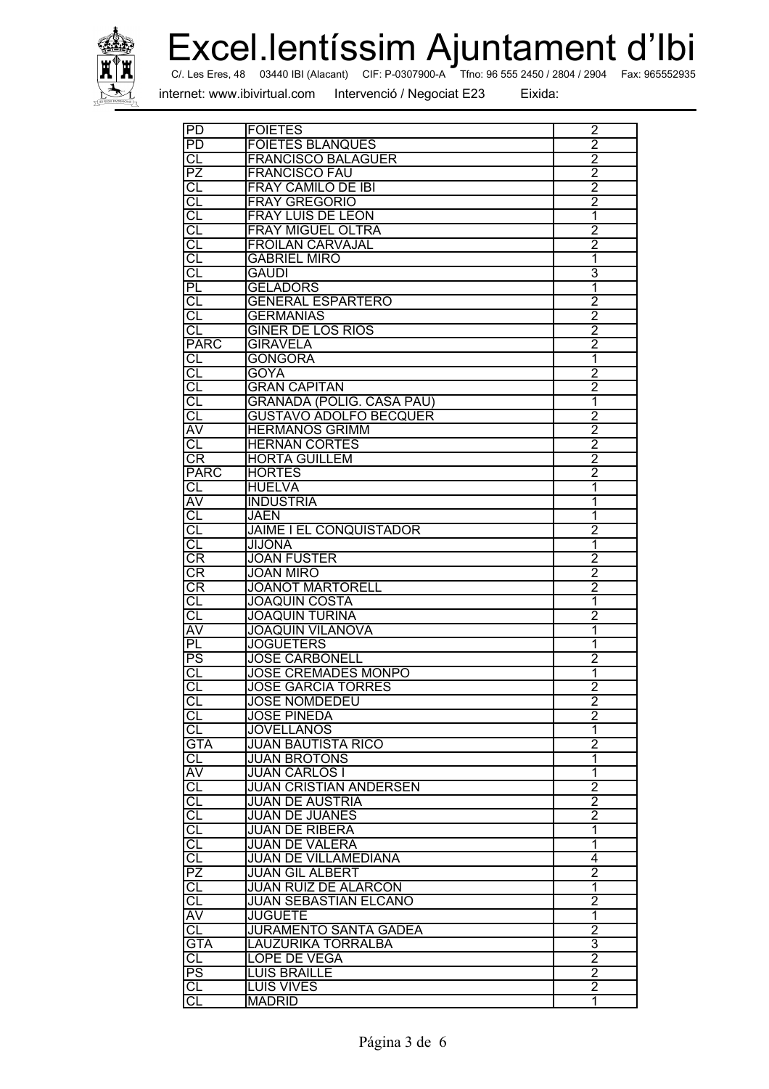

Excel.lentíssim Ajuntament d'Ibi Fax: 965552935

C/. Les Eres, 48 03440 IBI (Alacant) CIF: P-0307900-A Tfno: 96 555 2450 / 2804 / 2904 Fax

#.../\* /012\* - -

| $\overline{PD}$          | <b>FOIETES</b>                   | 2                       |
|--------------------------|----------------------------------|-------------------------|
| PD                       | <b>FOIETES BLANQUES</b>          | $\overline{2}$          |
| <b>CL</b>                | <b>FRANCISCO BALAGUER</b>        | $\overline{2}$          |
| <b>PZ</b>                | <b>FRANCISCO FAU</b>             | $\overline{2}$          |
|                          |                                  |                         |
| CL                       | <b>FRAY CAMILO DE IBI</b>        | $\overline{2}$          |
| CL                       | <b>FRAY GREGORIO</b>             | $\overline{2}$          |
| C                        | <b>FRAY LUIS DE LEON</b>         | $\overline{1}$          |
| CL                       | <b>FRAY MIGUEL OLTRA</b>         | $\overline{2}$          |
| CL                       | <b>FROILAN CARVAJAL</b>          | $\overline{2}$          |
| CI                       | <b>GABRIEL MIRO</b>              | 1                       |
| CL                       |                                  | 3                       |
|                          | <b>GAUDI</b>                     |                         |
| PL                       | <b>GELADORS</b>                  | 1                       |
| G                        | <b>GENERAL ESPARTERO</b>         | $\frac{2}{2}$           |
| CL                       | <b>GERMANIAS</b>                 |                         |
| СL                       | <b>GINER DE LOS RIOS</b>         | $\overline{2}$          |
| <b>PARC</b>              | <b>GIRAVELA</b>                  | $\overline{2}$          |
| CL                       | <b>GONGORA</b>                   | 1                       |
|                          |                                  |                         |
| CL                       | <b>GOYA</b>                      | $\overline{2}$          |
| F                        | <b>GRAN CAPITAN</b>              | 2                       |
| <b>CL</b>                | <b>GRANADA (POLIG. CASA PAU)</b> | 1                       |
| CL                       | <b>GUSTAVO ADOLFO BECQUER</b>    | $\overline{2}$          |
| AV                       | <b>HERMANOS GRIMM</b>            | $\overline{2}$          |
| CL                       | <b>HERNAN CORTES</b>             | $\overline{2}$          |
| CR                       | <b>HORTA GUILLEM</b>             | $\overline{2}$          |
|                          |                                  |                         |
| PARC                     | <b>HORTES</b>                    | $\overline{2}$          |
| <b>CL</b>                | <b>HUELVA</b>                    | 1                       |
| ĀV                       | <b>INDUSTRIA</b>                 | 1                       |
| CL                       | JAEN                             | 1                       |
| $\overline{\text{CL}}$   | <b>JAIME I EL CONQUISTADOR</b>   | $\overline{2}$          |
| CL                       | <b>JIJONA</b>                    | 1                       |
| <b>CR</b>                | <b>JOAN FUSTER</b>               | $\overline{2}$          |
|                          |                                  |                         |
| $\overline{CR}$          | <b>JOAN MIRO</b>                 | $\overline{2}$          |
| CR                       | <b>JOANOT MARTORELL</b>          | $\overline{2}$          |
| СL                       | <b>JOAQUIN COSTA</b>             | 1                       |
| CL                       | <b>JOAQUIN TURINA</b>            | $\overline{2}$          |
| <b>AV</b>                | <b>JOAQUIN VILANOVA</b>          | 1                       |
| $\overline{\mathsf{PL}}$ | <b>JOGUETERS</b>                 | 1                       |
|                          | <b>JOSE CARBONELL</b>            | $\overline{2}$          |
| PS                       |                                  |                         |
| CL                       | <b>JOSE CREMADES MONPO</b>       | 1                       |
| CL                       | <b>JOSE GARCIA TORRES</b>        | $\overline{2}$          |
| CL                       | <b>JOSE NOMDEDEU</b>             | 2                       |
| IJ                       | <b>JOSE PINEDA</b>               | $\overline{2}$          |
| lcl                      | <b>JOVELLANOS</b>                | $\overline{1}$          |
| GTA                      | <b>JUAN BAUTISTA RICO</b>        | $\overline{2}$          |
|                          | <b>JUAN BROTONS</b>              | 1                       |
| <b>CL</b>                |                                  |                         |
| χ                        | <b>JUAN CARLOS I</b>             | $\overline{\mathbf{1}}$ |
| CL                       | <b>JUAN CRISTIAN ANDERSEN</b>    | $\overline{2}$          |
| CI                       | <b>JUAN DE AUSTRIA</b>           | 2                       |
| CL                       | <b>JUAN DE JUANES</b>            | $\overline{2}$          |
| CL                       | <b>JUAN DE RIBERA</b>            | 1                       |
| ō                        | <b>JUAN DE VALERA</b>            | $\overline{\mathbf{1}}$ |
|                          |                                  | 4                       |
| CL                       | <b>JUAN DE VILLAMEDIANA</b>      |                         |
| PZ                       | <b>JUAN GIL ALBERT</b>           | $\overline{2}$          |
| CL                       | <b>JUAN RUIZ DE ALARCON</b>      | $\overline{1}$          |
| CL                       | <b>JUAN SEBASTIAN ELCANO</b>     | $\overline{2}$          |
| AV                       | <b>JUGUETE</b>                   | $\overline{1}$          |
| CL                       | <b>JURAMENTO SANTA GADEA</b>     | $\overline{2}$          |
| <b>GTA</b>               |                                  | 3                       |
|                          | LAUZURIKA TORRALBA               |                         |
| CL                       | <b>LOPE DE VEGA</b>              | $\overline{2}$          |
| PS                       | <b>LUIS BRAILLE</b>              | $\overline{2}$          |
| CL                       | <b>LUIS VIVES</b>                | $\overline{2}$          |
| CL                       | <b>MADRID</b>                    | 1                       |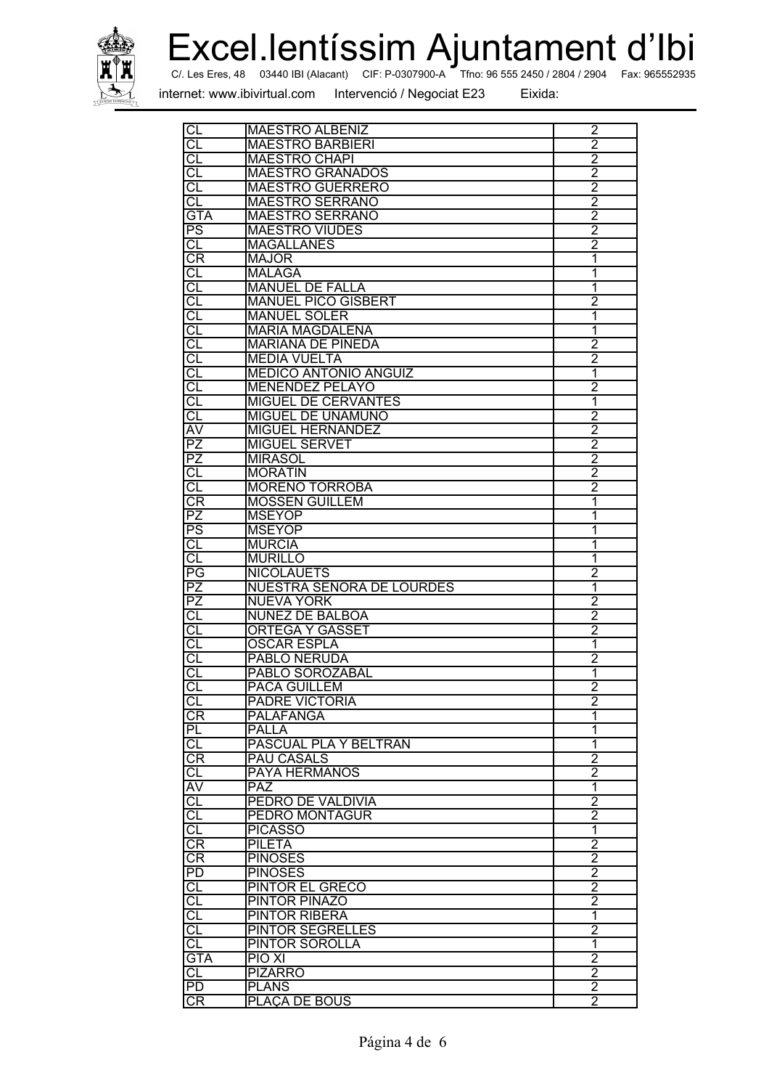

Excel.lentíssim Ajuntament d'Ibi

internet: www.ibivirtual.com

Intervenció / Negociat E23

| CL                       | <b>MAESTRO ALBENIZ</b>       | $\overline{2}$ |
|--------------------------|------------------------------|----------------|
| CL                       | <b>MAESTRO BARBIERI</b>      | $\overline{2}$ |
| <b>CL</b>                | <b>MAESTRO CHAPI</b>         | $\overline{2}$ |
| CL                       | <b>MAESTRO GRANADOS</b>      | $\overline{2}$ |
| CL                       | <b>MAESTRO GUERRERO</b>      | $\overline{2}$ |
| CL                       | <b>MAESTRO SERRANO</b>       | $\overline{2}$ |
| <b>GTA</b>               | <b>MAESTRO SERRANO</b>       | $\overline{2}$ |
| $\overline{\mathsf{PS}}$ | <b>MAESTRO VIUDES</b>        | $\overline{2}$ |
| <b>CL</b>                | <b>MAGALLANES</b>            | $\overline{2}$ |
| CR                       | <b>MAJOR</b>                 | 1              |
| CL                       | <b>MALAGA</b>                | 1              |
| СL                       | <b>MANUEL DE FALLA</b>       | 1              |
|                          |                              |                |
| Cl                       | <b>MANUEL PICO GISBERT</b>   | $\overline{2}$ |
| CL                       | <b>MANUEL SOLER</b>          | 1              |
| G                        | <b>MARIA MAGDALENA</b>       | 1              |
| <b>CL</b>                | <b>MARIANA DE PINEDA</b>     | $\overline{2}$ |
| CL                       | <b>MEDIA VUELTA</b>          | 2              |
| СL                       | <b>MEDICO ANTONIO ANGUIZ</b> | 1              |
| CL                       | <b>MENENDEZ PELAYO</b>       | 2              |
| S                        | <b>MIGUEL DE CERVANTES</b>   | 1              |
| СL                       | <b>MIGUEL DE UNAMUNO</b>     | $\overline{2}$ |
| ΙA                       | <b>MIGUEL HERNANDEZ</b>      | $\overline{2}$ |
| $\overline{\mathsf{PZ}}$ | <b>MIGUEL SERVET</b>         | $\overline{2}$ |
| <b>PZ</b>                | <b>MIRASOL</b>               | $\overline{2}$ |
| CL                       | <b>MORATIN</b>               | $\overline{2}$ |
| СL                       |                              | $\overline{2}$ |
|                          | <b>MORENO TORROBA</b>        |                |
| CR                       | <b>MOSSEN GUILLEM</b>        | 1              |
| PZ                       | <b>MSEYOP</b>                | 1              |
| $\overline{\text{PS}}$   | <b>MSEYOP</b>                | 1              |
| CL                       | <b>MURCIA</b>                | 1              |
| <b>CL</b>                | <b>MURILLO</b>               | 1              |
| PG                       | <b>NICOLAUETS</b>            | $\overline{2}$ |
| <b>PZ</b>                | NUESTRA SEÑORA DE LOURDES    | 1              |
| PZ                       | <b>NUEVA YORK</b>            | $\overline{2}$ |
| CL                       | <b>NUÑEZ DE BALBOA</b>       | $\overline{c}$ |
| СL                       | <b>ORTEGA Y GASSET</b>       | $\overline{2}$ |
| S                        | <b>OSCAR ESPLA</b>           | 1              |
| Cl                       | <b>PABLO NERUDA</b>          | $\overline{2}$ |
| CL                       | PABLO SOROZABAL              | 1              |
| CL                       | <b>PACA GUILLEM</b>          | $\overline{2}$ |
| <b>CL</b>                | <b>PADRE VICTORIA</b>        | 2              |
| <b>CR</b>                | <b>PALAFANGA</b>             | 1              |
|                          |                              |                |
| PL                       | PALLA                        | 1              |
| СL                       | PASCUAL PLA Y BELTRAN        | 1              |
| CR                       | <b>PAU CASALS</b>            | $\overline{2}$ |
| CL                       | <b>PAYA HERMANOS</b>         | $\overline{2}$ |
| $\overline{\mathsf{AV}}$ | <b>PAZ</b>                   | $\overline{1}$ |
| CL                       | PEDRO DE VALDIVIA            | 2              |
| CL                       | PEDRO MONTAGUR               | $\overline{2}$ |
| CL                       | <b>PICASSO</b>               | $\overline{1}$ |
| CR                       | <b>PILETA</b>                | $\overline{2}$ |
| <b>CR</b>                | <b>PINOSES</b>               | $\overline{2}$ |
| PD                       | <b>PINOSES</b>               | $\overline{2}$ |
| <b>CL</b>                | PINTOR EL GRECO              | $\overline{2}$ |
| CL                       | <b>PINTOR PINAZO</b>         | $\overline{2}$ |
| IJ                       | PINTOR RIBERA                | 1              |
|                          |                              |                |
| CL                       | <b>PINTOR SEGRELLES</b>      | $\overline{2}$ |
| CL                       | <b>PINTOR SOROLLA</b>        | $\overline{1}$ |
| <b>GTA</b>               | <b>PIO XI</b>                | $\overline{2}$ |
| $\overline{\text{CL}}$   | <b>PIZARRO</b>               | $\overline{2}$ |
| IPD                      | <b>PLANS</b>                 | $\overline{2}$ |
| <b>CR</b>                | PLAÇA DE BOUS                | $\overline{2}$ |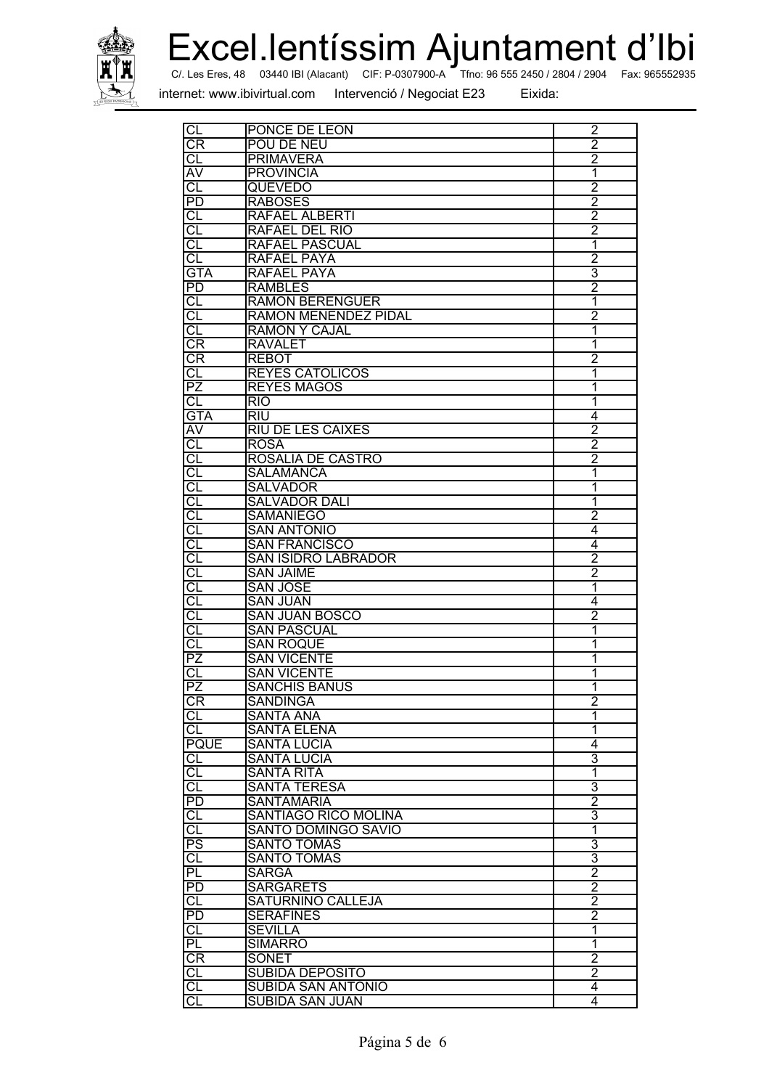

Excel.lentíssim Ajuntament d'Ibi Fax: 965552935

Tfno: 96 555 2450 / 2804 / 2904 C/. Les Eres, 48 03440 IBI (Alacant) CIF: P-0307900-A

internet: www.ibivirtual.com

Intervenció / Negociat E23

| CL                       | PONCE DE LEON               | 2              |
|--------------------------|-----------------------------|----------------|
| СR                       | POU DE NEU                  | $\overline{2}$ |
| <b>CL</b>                | <b>PRIMAVERA</b>            | $\overline{2}$ |
| <b>AV</b>                | <b>PROVINCIA</b>            | 1              |
| CL                       | QUEVEDO                     | $\overline{2}$ |
|                          |                             |                |
| PD                       | <b>RABOSES</b>              | $\overline{2}$ |
| СL                       | RAFAEL ALBERTI              | $\overline{2}$ |
| CL                       | RAFAEL DEL RIO              | $\overline{2}$ |
| СL                       | RAFAEL PASCUAL              | 1              |
| CL                       | <b>RAFAEL PAYA</b>          | $\overline{2}$ |
| <b>GTA</b>               | <b>RAFAEL PAYA</b>          | $\overline{3}$ |
| PD                       | <b>RAMBLES</b>              | $\overline{2}$ |
| IJ                       | <b>RAMON BERENGUER</b>      | 1              |
| CL                       | RAMON MENENDEZ PIDAL        | $\overline{2}$ |
|                          |                             |                |
| CL                       | <b>RAMON Y CAJAL</b>        | 1              |
| CR                       | <b>RAVALET</b>              | 1              |
| CR                       | <b>REBOT</b>                | 2              |
| <b>CL</b>                | <b>REYES CATOLICOS</b>      | 1              |
| PZ                       | <b>REYES MAGOS</b>          | 1              |
| <b>CL</b>                | <b>RIO</b>                  | 1              |
| <b>GTA</b>               | RIU                         | $\overline{4}$ |
| AV                       | <b>RIU DE LES CAIXES</b>    | $\overline{2}$ |
| CL                       | <b>ROSA</b>                 | $\overline{2}$ |
| CL                       | ROSALIA DE CASTRO           | $\overline{2}$ |
| CL                       | <b>SALAMANCA</b>            | 1              |
|                          |                             |                |
| IJ                       | <b>SALVADOR</b>             | 1              |
| CL                       | <b>SALVADOR DALI</b>        | 1              |
| CL                       | <b>SAMANIEGO</b>            | 2              |
| CL                       | <b>SAN ANTONIO</b>          | 4              |
| CL                       | <b>SAN FRANCISCO</b>        | 4              |
| CL                       | <b>SAN ISIDRO LABRADOR</b>  | $\overline{2}$ |
| CL                       | <b>SAN JAIME</b>            | 2              |
| CL                       | <b>SAN JOSE</b>             | 1              |
| CL                       | <b>SAN JUAN</b>             | $\overline{4}$ |
| CL                       | <b>SAN JUAN BOSCO</b>       | $\overline{2}$ |
| CL                       | <b>SAN PASCUAL</b>          | 1              |
| CL                       | <b>SAN ROQUE</b>            | 1              |
|                          |                             |                |
| PZ                       | <b>SAN VICENTE</b>          | 1              |
| СL                       | <b>SAN VICENTE</b>          | 1              |
| PZ                       | <b>SANCHIS BANUS</b>        | $\overline{1}$ |
| <b>CR</b>                | SANDINGA                    | 2              |
| CL                       | <b>SANTA ANA</b>            | 1              |
| CL                       | <b>SANTA ELENA</b>          | 1              |
| <b>PQUE</b>              | <b>SANTA LUCIA</b>          | 4              |
| IJ                       | <b>SANTA LUCIA</b>          | 3              |
|                          | <b>SANTA RITA</b>           | 1              |
| $rac{CL}{CL}$            | <b>SANTA TERESA</b>         | 3              |
| $\overline{\mathsf{PD}}$ | <b>SANTAMARIA</b>           | $\overline{2}$ |
|                          |                             |                |
| CL                       | <b>SANTIAGO RICO MOLINA</b> | 3              |
| q                        | <b>SANTO DOMINGO SAVIO</b>  | 1              |
| PS<br>CL                 | <b>SANTO TOMAS</b>          | $\overline{3}$ |
|                          | <b>SANTO TOMAS</b>          | 3              |
| PL                       | <b>SARGA</b>                | $\overline{2}$ |
| <b>PD</b>                | <b>SARGARETS</b>            | $\overline{2}$ |
| $\overline{\text{CL}}$   | <b>SATURNINO CALLEJA</b>    | $\overline{c}$ |
| PD                       | <b>SERAFINES</b>            | 2              |
| CL                       | <b>SEVILLA</b>              | 1              |
| PL                       | <b>SIMARRO</b>              | 1              |
| CR                       | <b>SONET</b>                | 2              |
|                          |                             | $\overline{2}$ |
| F                        | <b>SUBIDA DEPOSITO</b>      |                |
| CL                       | <b>SUBIDA SAN ANTONIO</b>   | 4              |
| $\overline{c}$           | <b>SUBIDA SAN JUAN</b>      | 4              |